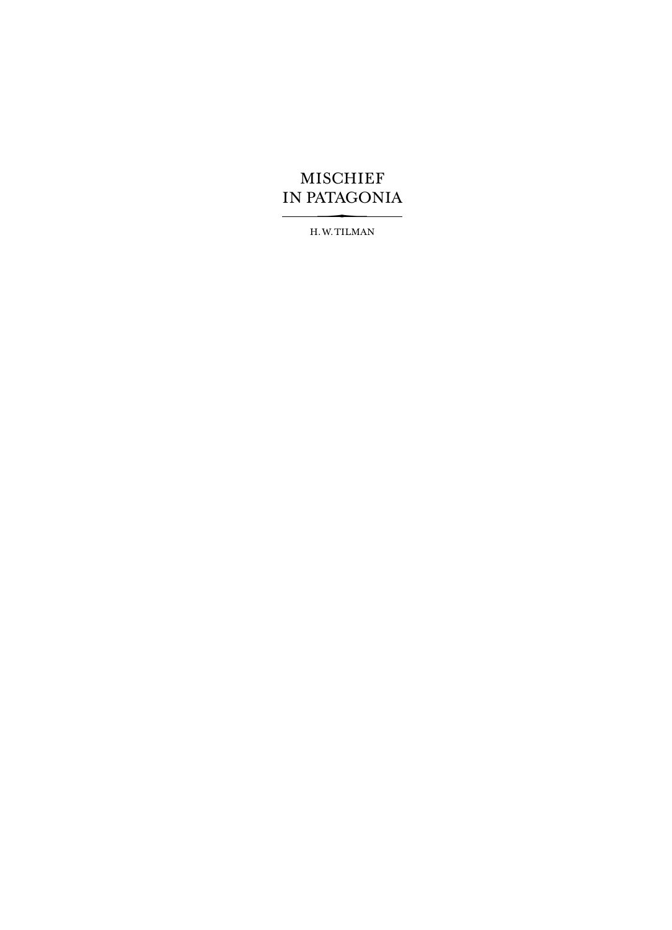### MISCHIEF IN PATAGONIA

H.  $\overline{\phantom{a}}$ W.TILMAN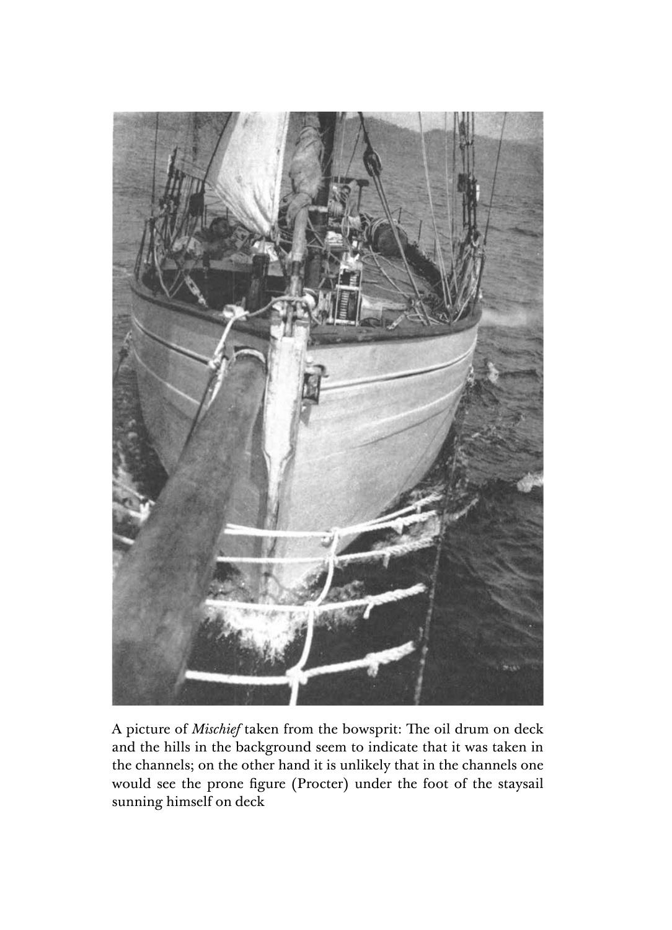

A picture of *Mischief* taken from the bowsprit: The oil drum on deck and the hills in the background seem to indicate that it was taken in the channels; on the other hand it is unlikely that in the channels one would see the prone figure (Procter) under the foot of the staysail sunning himself on deck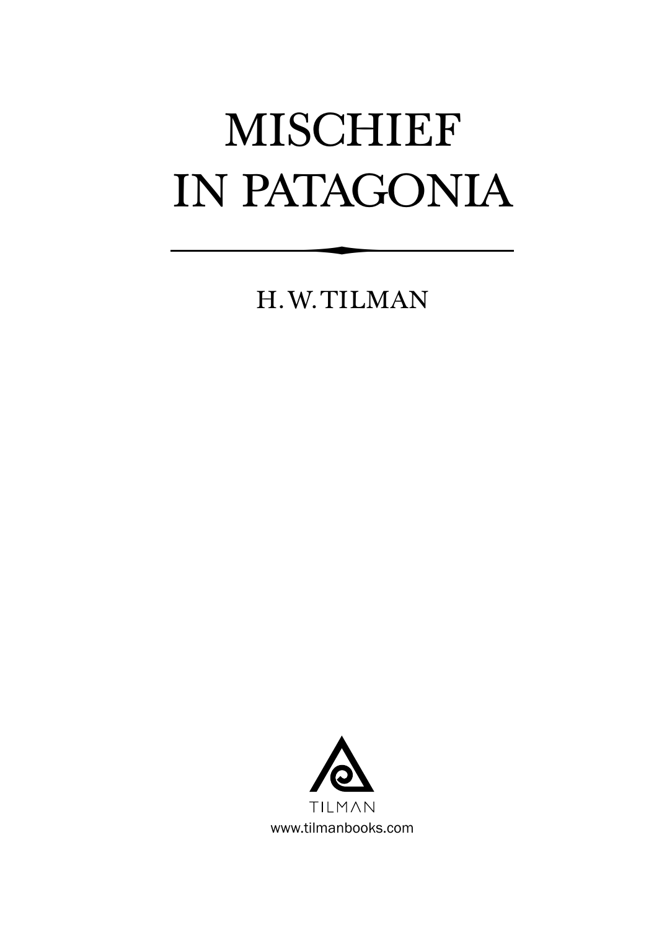# MISCHIEF IN PATAGONIA

H. W.TILMAN

<u>7</u>

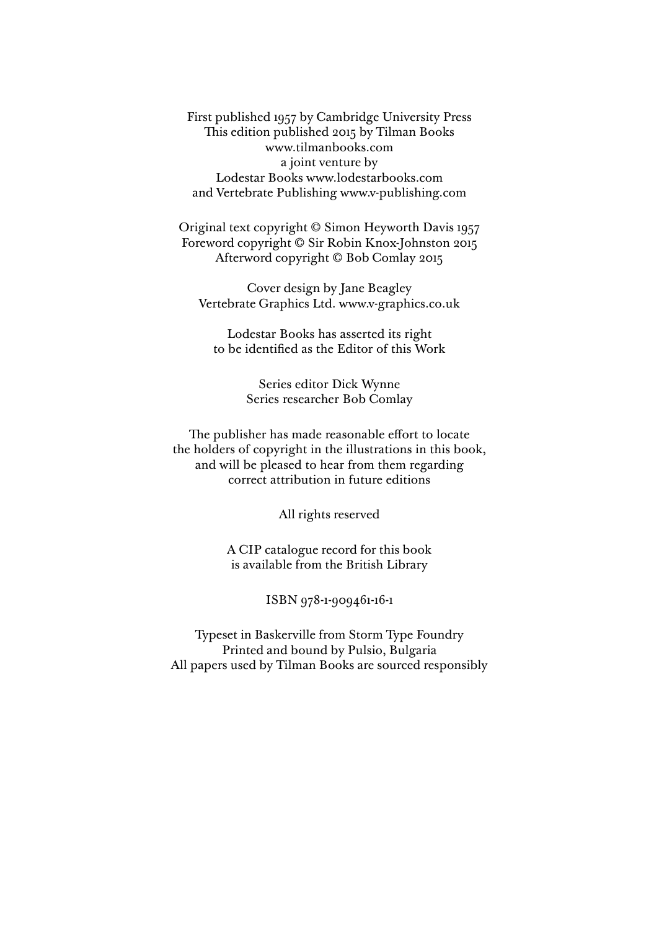First published 1957 by Cambridge University Press This edition published 2015 by Tilman Books www.tilmanbooks.com a joint venture by Lodestar Books www.lodestarbooks.com and Vertebrate Publishing www.v-publishing.com

Original text copyright © Simon Heyworth Davis 1957 Foreword copyright © Sir Robin Knox-Johnston 2015 Afterword copyright © Bob Comlay 2015

Cover design by Jane Beagley Vertebrate Graphics Ltd. www.v-graphics.co.uk

Lodestar Books has asserted its right to be identified as the Editor of this Work

> Series editor Dick Wynne Series researcher Bob Comlay

The publisher has made reasonable effort to locate the holders of copyright in the illustrations in this book, and will be pleased to hear from them regarding correct attribution in future editions

All rights reserved

A CIP catalogue record for this book is available from the British Library

ISBN 978-1-909461-16-1

Typeset in Baskerville from Storm Type Foundry Printed and bound by Pulsio, Bulgaria All papers used by Tilman Books are sourced responsibly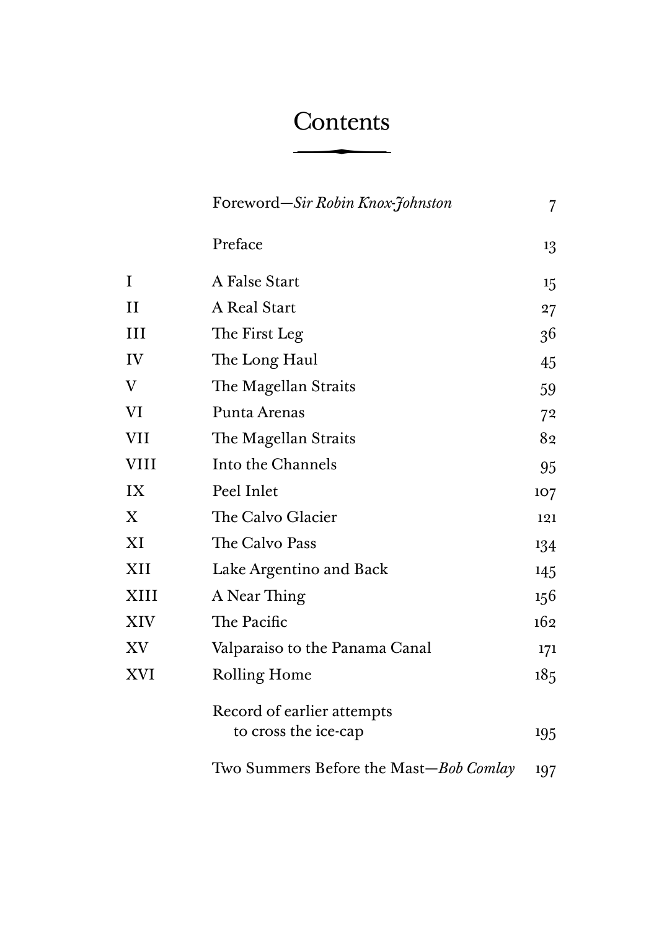# **Contents**

<u>772 - Johann Johann Johann Johann Johann Johann Johann Johann Johann Johann Johann Johann Johann Johann Johann Johann Johann Johann Johann Johann Johann Johann Johann Johann Johann Johann Johann Johann Johann Johann Johan</u>

|              | Foreword-Sir Robin Knox-Johnston       | 7   |
|--------------|----------------------------------------|-----|
|              | Preface                                | 13  |
| I            | A False Start                          | 15  |
| $\mathbf{I}$ | A Real Start                           | 27  |
| Ш            | The First Leg                          | 36  |
| IV           | The Long Haul                          | 45  |
| V            | The Magellan Straits                   | 59  |
| VI           | Punta Arenas                           | 72  |
| VII          | The Magellan Straits                   | 82  |
| VIII         | Into the Channels                      | 95  |
| IX           | Peel Inlet                             | 107 |
| X            | The Calvo Glacier                      | 121 |
| ΧI           | The Calvo Pass                         | 134 |
| XII          | Lake Argentino and Back                | 145 |
| XIII         | A Near Thing                           | 156 |
| XIV          | The Pacific                            | 162 |
| XV           | Valparaiso to the Panama Canal         | 171 |
| XVI          | <b>Rolling Home</b>                    | 185 |
|              | Record of earlier attempts             |     |
|              | to cross the ice-cap                   | 195 |
|              | Two Summers Before the Mast-Bob Comlay | 197 |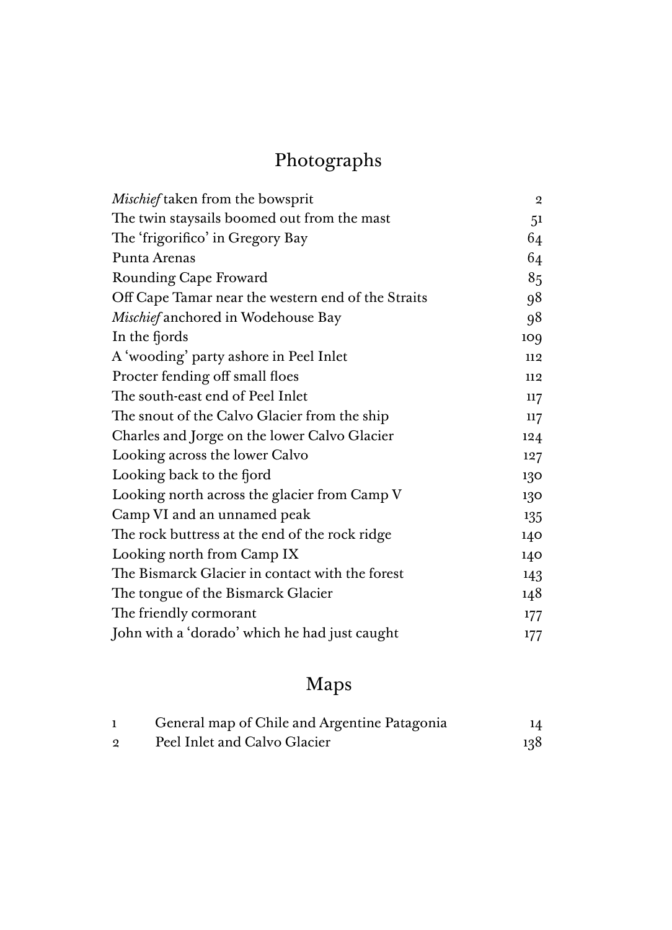# Photographs

| Mischief taken from the bowsprit                   | $\boldsymbol{2}$ |
|----------------------------------------------------|------------------|
| The twin staysails boomed out from the mast        | 51               |
| The 'frigorifico' in Gregory Bay                   | 64               |
| Punta Arenas                                       | 64               |
| Rounding Cape Froward                              | 85               |
| Off Cape Tamar near the western end of the Straits | 98               |
| Mischief anchored in Wodehouse Bay                 | 98               |
| In the fjords                                      | 109              |
| A 'wooding' party ashore in Peel Inlet             | 112              |
| Procter fending off small floes                    | 112              |
| The south-east end of Peel Inlet                   | 117              |
| The snout of the Calvo Glacier from the ship       | 117              |
| Charles and Jorge on the lower Calvo Glacier       | 124              |
| Looking across the lower Calvo                     | 127              |
| Looking back to the fjord                          | 130              |
| Looking north across the glacier from Camp V       | 130              |
| Camp VI and an unnamed peak                        | 135              |
| The rock buttress at the end of the rock ridge     | 140              |
| Looking north from Camp IX                         | 140              |
| The Bismarck Glacier in contact with the forest    | 143              |
| The tongue of the Bismarck Glacier                 | 148              |
| The friendly cormorant                             | 177              |
| John with a 'dorado' which he had just caught      | 177              |

# Maps

| General map of Chile and Argentine Patagonia | 14  |
|----------------------------------------------|-----|
| Peel Inlet and Calvo Glacier                 | 138 |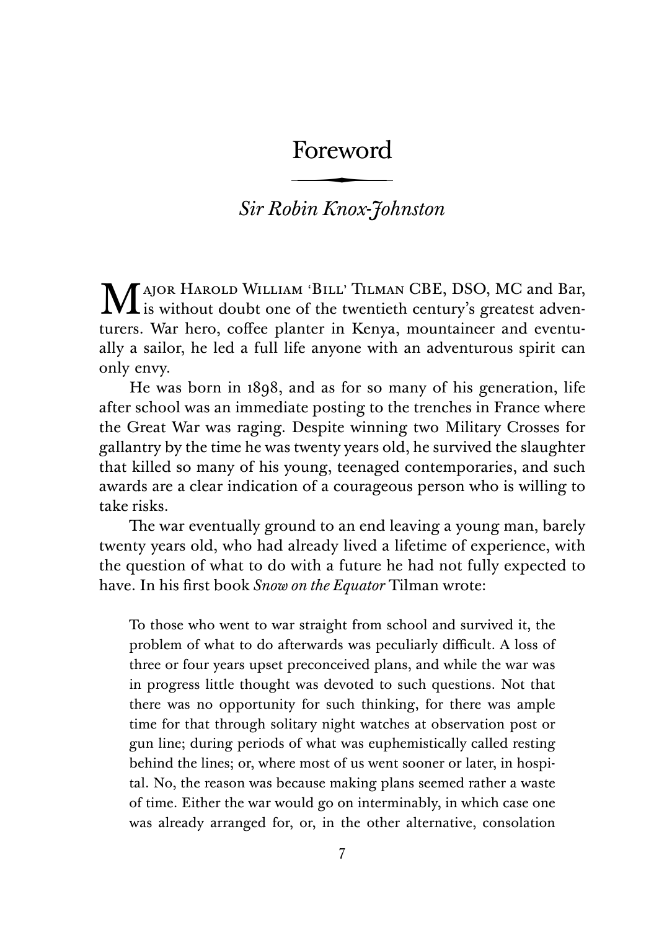### Foreword

# *Sir Robin Knox-Johnston* <u>772 - Johann Johann Johann Johann Johann Johann Johann Johann Johann Johann Johann Johann Johann Johann Johann Johann Johann Johann Johann Johann Johann Johann Johann Johann Johann Johann Johann Johann Johann Johann Johan</u>

Major Harold William 'Bill' Tilman CBE, DSO, MC and Bar,  $\mathbf I$  is without doubt one of the twentieth century's greatest adventurers. War hero, coffee planter in Kenya, mountaineer and eventually a sailor, he led a full life anyone with an adventurous spirit can only envy.

He was born in 1898, and as for so many of his generation, life after school was an immediate posting to the trenches in France where the Great War was raging. Despite winning two Military Crosses for gallantry by the time he was twenty years old, he survived the slaughter that killed so many of his young, teenaged contemporaries, and such awards are a clear indication of a courageous person who is willing to take risks.

The war eventually ground to an end leaving a young man, barely twenty years old, who had already lived a lifetime of experience, with the question of what to do with a future he had not fully expected to have. In his first book *Snow on the Equator* Tilman wrote:

To those who went to war straight from school and survived it, the problem of what to do afterwards was peculiarly difficult. A loss of three or four years upset preconceived plans, and while the war was in progress little thought was devoted to such questions. Not that there was no opportunity for such thinking, for there was ample time for that through solitary night watches at observation post or gun line; during periods of what was euphemistically called resting behind the lines; or, where most of us went sooner or later, in hospital. No, the reason was because making plans seemed rather a waste of time. Either the war would go on interminably, in which case one was already arranged for, or, in the other alternative, consolation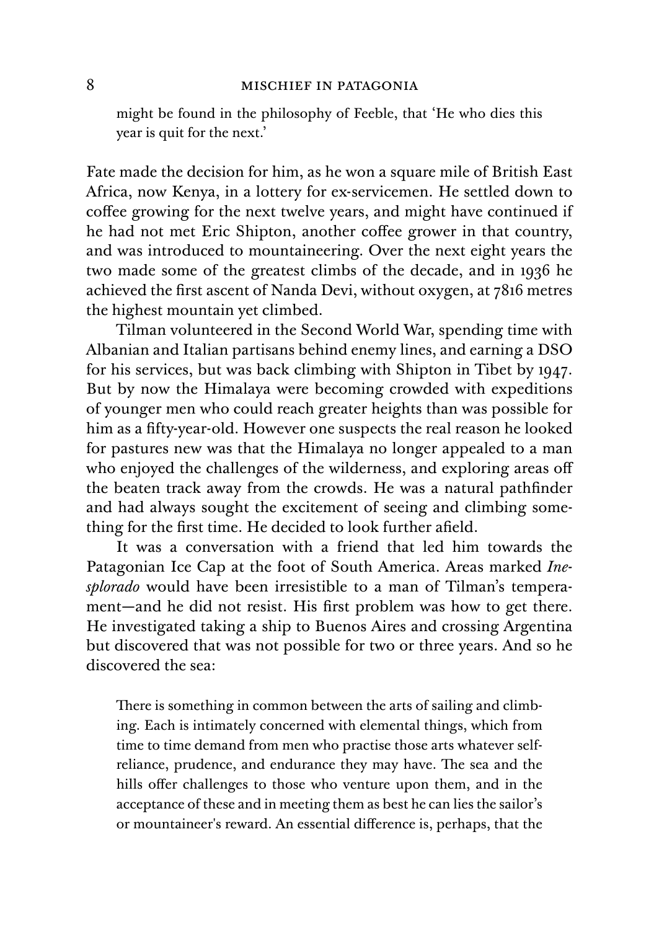might be found in the philosophy of Feeble, that 'He who dies this year is quit for the next.'

Fate made the decision for him, as he won a square mile of British East Africa, now Kenya, in a lottery for ex-servicemen. He settled down to coffee growing for the next twelve years, and might have continued if he had not met Eric Shipton, another coffee grower in that country, and was introduced to mountaineering. Over the next eight years the two made some of the greatest climbs of the decade, and in 1936 he achieved the first ascent of Nanda Devi, without oxygen, at 7816 metres the highest mountain yet climbed.

Tilman volunteered in the Second World War, spending time with Albanian and Italian partisans behind enemy lines, and earning a DSO for his services, but was back climbing with Shipton in Tibet by 1947. But by now the Himalaya were becoming crowded with expeditions of younger men who could reach greater heights than was possible for him as a fifty-year-old. However one suspects the real reason he looked for pastures new was that the Himalaya no longer appealed to a man who enjoyed the challenges of the wilderness, and exploring areas off the beaten track away from the crowds. He was a natural pathfinder and had always sought the excitement of seeing and climbing something for the first time. He decided to look further afield.

It was a conversation with a friend that led him towards the Patagonian Ice Cap at the foot of South America. Areas marked *Inesplorado* would have been irresistible to a man of Tilman's temperament—and he did not resist. His first problem was how to get there. He investigated taking a ship to Buenos Aires and crossing Argentina but discovered that was not possible for two or three years. And so he discovered the sea:

There is something in common between the arts of sailing and climbing. Each is intimately concerned with elemental things, which from time to time demand from men who practise those arts whatever selfreliance, prudence, and endurance they may have. The sea and the hills offer challenges to those who venture upon them, and in the acceptance of these and in meeting them as best he can lies the sailor's or mountaineer's reward. An essential difference is, perhaps, that the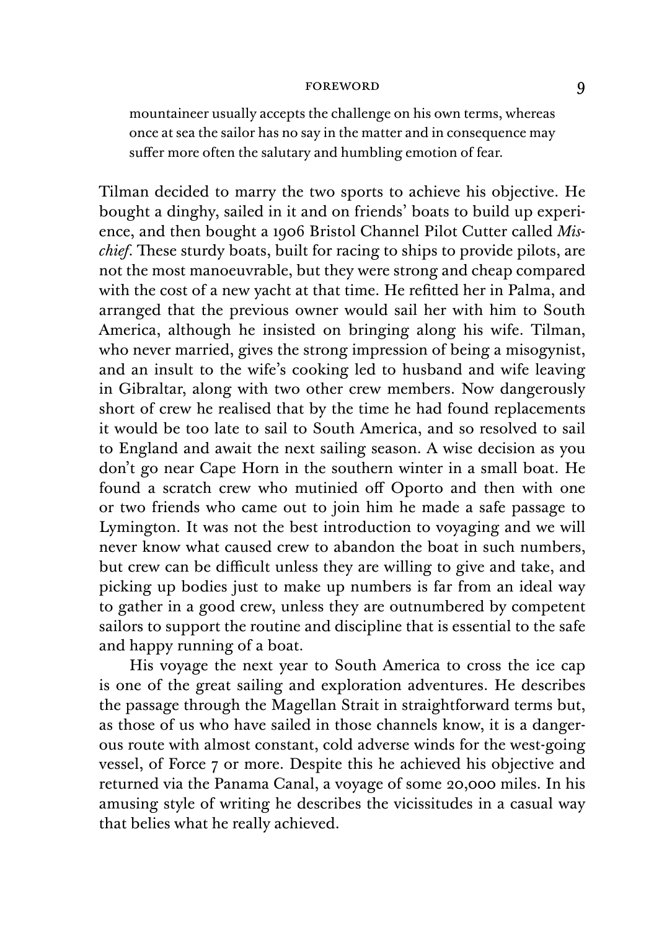#### FOREWORD 9

mountaineer usually accepts the challenge on his own terms, whereas once at sea the sailor has no say in the matter and in consequence may suffer more often the salutary and humbling emotion of fear.

Tilman decided to marry the two sports to achieve his objective. He bought a dinghy, sailed in it and on friends' boats to build up experience, and then bought a 1906 Bristol Channel Pilot Cutter called *Mischief*. These sturdy boats, built for racing to ships to provide pilots, are not the most manoeuvrable, but they were strong and cheap compared with the cost of a new yacht at that time. He refitted her in Palma, and arranged that the previous owner would sail her with him to South America, although he insisted on bringing along his wife. Tilman, who never married, gives the strong impression of being a misogynist, and an insult to the wife's cooking led to husband and wife leaving in Gibraltar, along with two other crew members. Now dangerously short of crew he realised that by the time he had found replacements it would be too late to sail to South America, and so resolved to sail to England and await the next sailing season. A wise decision as you don't go near Cape Horn in the southern winter in a small boat. He found a scratch crew who mutinied off Oporto and then with one or two friends who came out to join him he made a safe passage to Lymington. It was not the best introduction to voyaging and we will never know what caused crew to abandon the boat in such numbers, but crew can be difficult unless they are willing to give and take, and picking up bodies just to make up numbers is far from an ideal way to gather in a good crew, unless they are outnumbered by competent sailors to support the routine and discipline that is essential to the safe and happy running of a boat.

His voyage the next year to South America to cross the ice cap is one of the great sailing and exploration adventures. He describes the passage through the Magellan Strait in straightforward terms but, as those of us who have sailed in those channels know, it is a dangerous route with almost constant, cold adverse winds for the west-going vessel, of Force 7 or more. Despite this he achieved his objective and returned via the Panama Canal, a voyage of some 20,000 miles. In his amusing style of writing he describes the vicissitudes in a casual way that belies what he really achieved.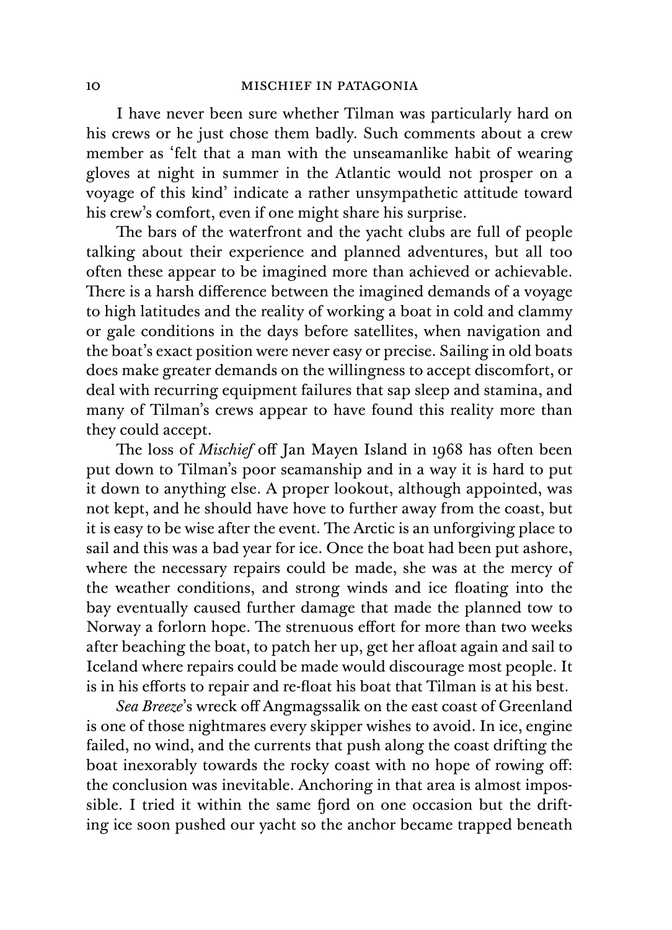I have never been sure whether Tilman was particularly hard on his crews or he just chose them badly. Such comments about a crew member as 'felt that a man with the unseamanlike habit of wearing gloves at night in summer in the Atlantic would not prosper on a voyage of this kind' indicate a rather unsympathetic attitude toward his crew's comfort, even if one might share his surprise.

The bars of the waterfront and the yacht clubs are full of people talking about their experience and planned adventures, but all too often these appear to be imagined more than achieved or achievable. There is a harsh difference between the imagined demands of a voyage to high latitudes and the reality of working a boat in cold and clammy or gale conditions in the days before satellites, when navigation and the boat's exact position were never easy or precise. Sailing in old boats does make greater demands on the willingness to accept discomfort, or deal with recurring equipment failures that sap sleep and stamina, and many of Tilman's crews appear to have found this reality more than they could accept.

The loss of *Mischief* off Jan Mayen Island in 1968 has often been put down to Tilman's poor seamanship and in a way it is hard to put it down to anything else. A proper lookout, although appointed, was not kept, and he should have hove to further away from the coast, but it is easy to be wise after the event. The Arctic is an unforgiving place to sail and this was a bad year for ice. Once the boat had been put ashore, where the necessary repairs could be made, she was at the mercy of the weather conditions, and strong winds and ice floating into the bay eventually caused further damage that made the planned tow to Norway a forlorn hope. The strenuous effort for more than two weeks after beaching the boat, to patch her up, get her afloat again and sail to Iceland where repairs could be made would discourage most people. It is in his efforts to repair and re-float his boat that Tilman is at his best.

*Sea Breeze*'s wreck off Angmagssalik on the east coast of Greenland is one of those nightmares every skipper wishes to avoid. In ice, engine failed, no wind, and the currents that push along the coast drifting the boat inexorably towards the rocky coast with no hope of rowing off: the conclusion was inevitable. Anchoring in that area is almost impossible. I tried it within the same fjord on one occasion but the drifting ice soon pushed our yacht so the anchor became trapped beneath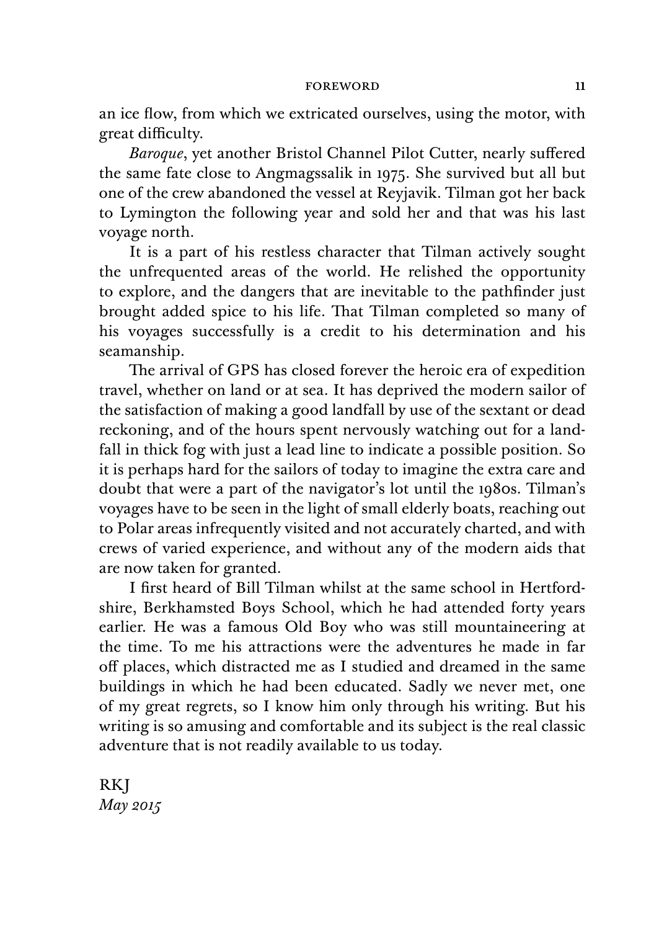#### FOREWORD 11

an ice flow, from which we extricated ourselves, using the motor, with great difficulty.

*Baroque*, yet another Bristol Channel Pilot Cutter, nearly suffered the same fate close to Angmagssalik in 1975. She survived but all but one of the crew abandoned the vessel at Reyjavik. Tilman got her back to Lymington the following year and sold her and that was his last voyage north.

It is a part of his restless character that Tilman actively sought the unfrequented areas of the world. He relished the opportunity to explore, and the dangers that are inevitable to the pathfinder just brought added spice to his life. That Tilman completed so many of his voyages successfully is a credit to his determination and his seamanship.

The arrival of GPS has closed forever the heroic era of expedition travel, whether on land or at sea. It has deprived the modern sailor of the satisfaction of making a good landfall by use of the sextant or dead reckoning, and of the hours spent nervously watching out for a landfall in thick fog with just a lead line to indicate a possible position. So it is perhaps hard for the sailors of today to imagine the extra care and doubt that were a part of the navigator's lot until the 1980s. Tilman's voyages have to be seen in the light of small elderly boats, reaching out to Polar areas infrequently visited and not accurately charted, and with crews of varied experience, and without any of the modern aids that are now taken for granted.

I first heard of Bill Tilman whilst at the same school in Hertfordshire, Berkhamsted Boys School, which he had attended forty years earlier. He was a famous Old Boy who was still mountaineering at the time. To me his attractions were the adventures he made in far off places, which distracted me as I studied and dreamed in the same buildings in which he had been educated. Sadly we never met, one of my great regrets, so I know him only through his writing. But his writing is so amusing and comfortable and its subject is the real classic adventure that is not readily available to us today.

RKJ *May 2015*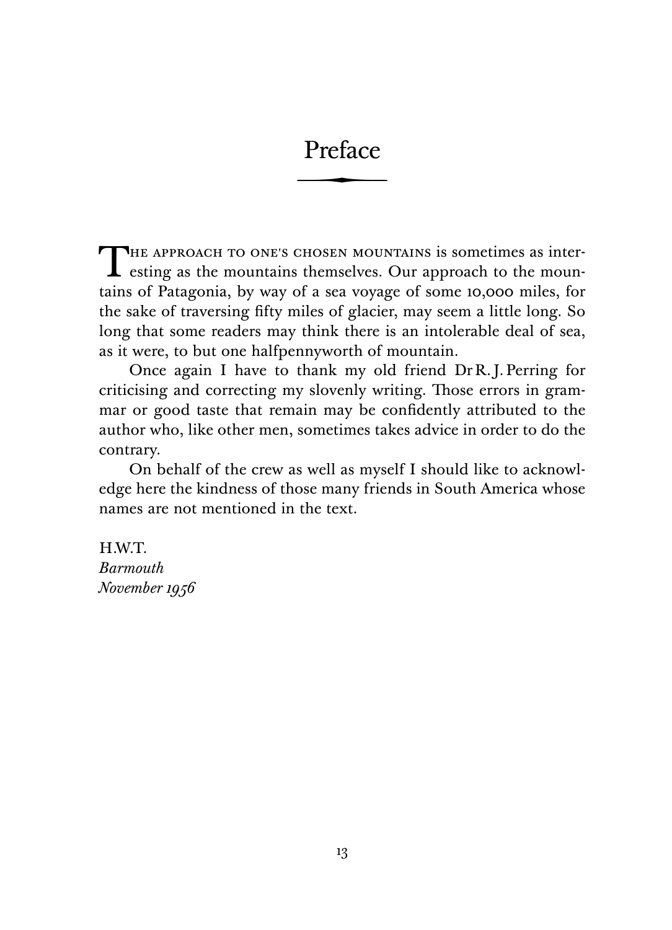## Preface

THE APPROACH TO ONE'S CHOSEN MOUNTAINS is sometimes as inter-**L** esting as the mountains themselves. Our approach to the mountains of Patagonia, by way of a sea voyage of some 10,000 miles, for the sake of traversing fifty miles of glacier, may seem a little long. So long that some readers may think there is an intolerable deal of sea, as it were, to but one halfpennyworth of mountain.

Once again I have to thank my old friend DrR. J.Perring for criticising and correcting my slovenly writing. Those errors in grammar or good taste that remain may be confidently attributed to the author who, like other men, sometimes takes advice in order to do the contrary.

On behalf of the crew as well as myself I should like to acknowledge here the kindness of those many friends in South America whose names are not mentioned in the text.

H.W.T. *Barmouth November 1956*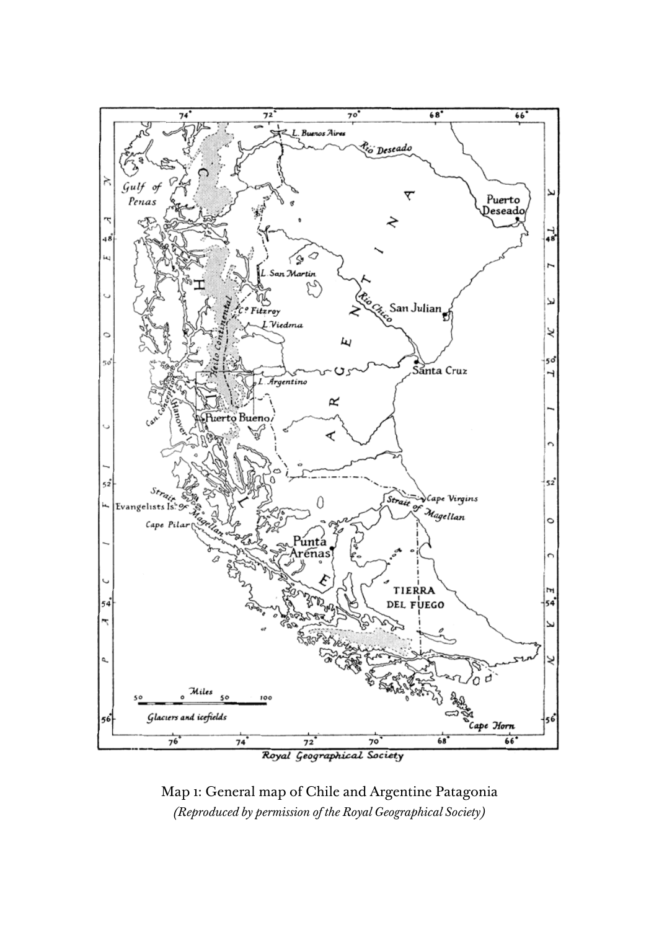

Map 1: General map of Chile and Argentine Patagonia *(Reproduced by permission of the Royal Geographical Society)*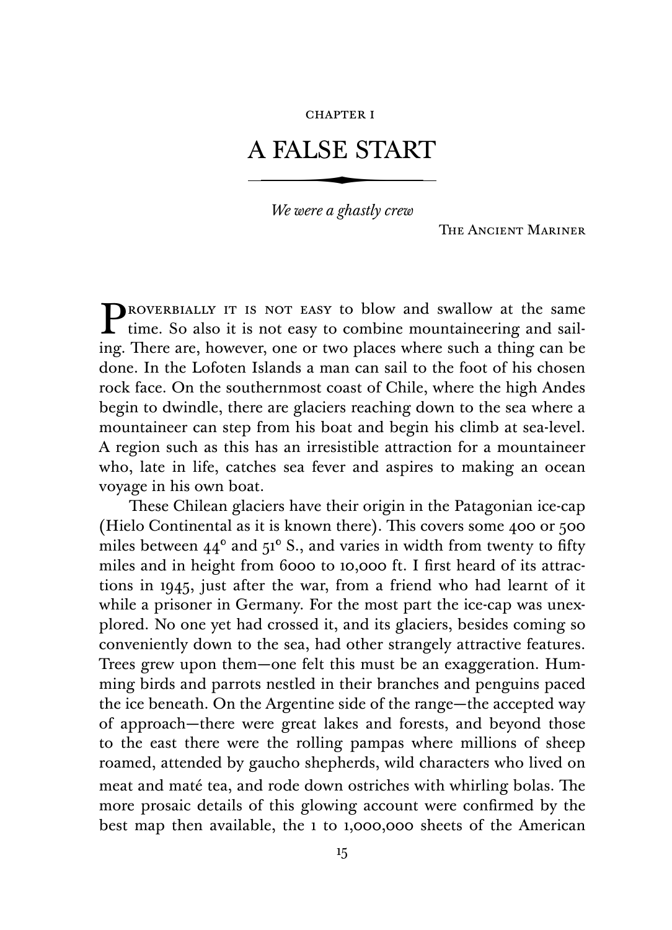#### **CHAPTER I**

## A FALSE START

<u>za za zaponi</u> *We were a ghastly crew*

The Ancient Mariner

**PROVERBIALLY IT IS NOT EASY to blow and swallow at the same time.** So also it is not easy to combine mountaineering and sailing. There are, however, one or two places where such a thing can be done. In the Lofoten Islands a man can sail to the foot of his chosen rock face. On the southernmost coast of Chile, where the high Andes begin to dwindle, there are glaciers reaching down to the sea where a mountaineer can step from his boat and begin his climb at sea-level. A region such as this has an irresistible attraction for a mountaineer who, late in life, catches sea fever and aspires to making an ocean voyage in his own boat.

These Chilean glaciers have their origin in the Patagonian ice-cap (Hielo Continental as it is known there). This covers some 400 or 500 miles between 44° and 51° S., and varies in width from twenty to fifty miles and in height from 6000 to 10,000 ft. I first heard of its attractions in 1945, just after the war, from a friend who had learnt of it while a prisoner in Germany. For the most part the ice-cap was unexplored. No one yet had crossed it, and its glaciers, besides coming so conveniently down to the sea, had other strangely attractive features. Trees grew upon them—one felt this must be an exaggeration. Humming birds and parrots nestled in their branches and penguins paced the ice beneath. On the Argentine side of the range—the accepted way of approach—there were great lakes and forests, and beyond those to the east there were the rolling pampas where millions of sheep roamed, attended by gaucho shepherds, wild characters who lived on meat and maté tea, and rode down ostriches with whirling bolas. The more prosaic details of this glowing account were confirmed by the best map then available, the 1 to 1,000,000 sheets of the American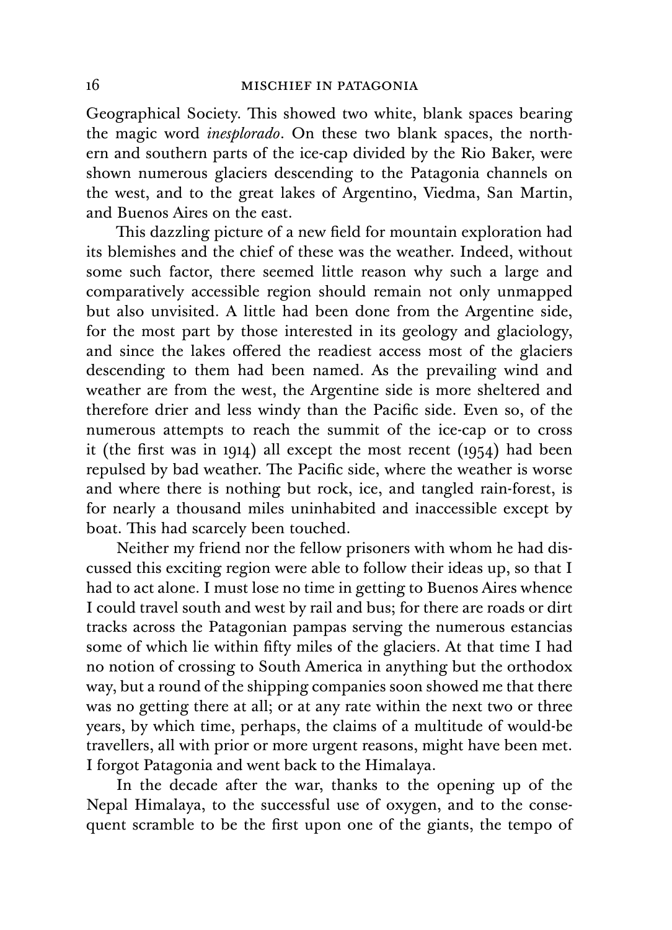Geographical Society. This showed two white, blank spaces bearing the magic word *inesplorado*. On these two blank spaces, the northern and southern parts of the ice-cap divided by the Rio Baker, were shown numerous glaciers descending to the Patagonia channels on the west, and to the great lakes of Argentino, Viedma, San Martin, and Buenos Aires on the east.

This dazzling picture of a new field for mountain exploration had its blemishes and the chief of these was the weather. Indeed, without some such factor, there seemed little reason why such a large and comparatively accessible region should remain not only unmapped but also unvisited. A little had been done from the Argentine side, for the most part by those interested in its geology and glaciology, and since the lakes offered the readiest access most of the glaciers descending to them had been named. As the prevailing wind and weather are from the west, the Argentine side is more sheltered and therefore drier and less windy than the Pacific side. Even so, of the numerous attempts to reach the summit of the ice-cap or to cross it (the first was in 1914) all except the most recent (1954) had been repulsed by bad weather. The Pacific side, where the weather is worse and where there is nothing but rock, ice, and tangled rain-forest, is for nearly a thousand miles uninhabited and inaccessible except by boat. This had scarcely been touched.

Neither my friend nor the fellow prisoners with whom he had discussed this exciting region were able to follow their ideas up, so that I had to act alone. I must lose no time in getting to Buenos Aires whence I could travel south and west by rail and bus; for there are roads or dirt tracks across the Patagonian pampas serving the numerous estancias some of which lie within fifty miles of the glaciers. At that time I had no notion of crossing to South America in anything but the orthodox way, but a round of the shipping companies soon showed me that there was no getting there at all; or at any rate within the next two or three years, by which time, perhaps, the claims of a multitude of would-be travellers, all with prior or more urgent reasons, might have been met. I forgot Patagonia and went back to the Himalaya.

In the decade after the war, thanks to the opening up of the Nepal Himalaya, to the successful use of oxygen, and to the consequent scramble to be the first upon one of the giants, the tempo of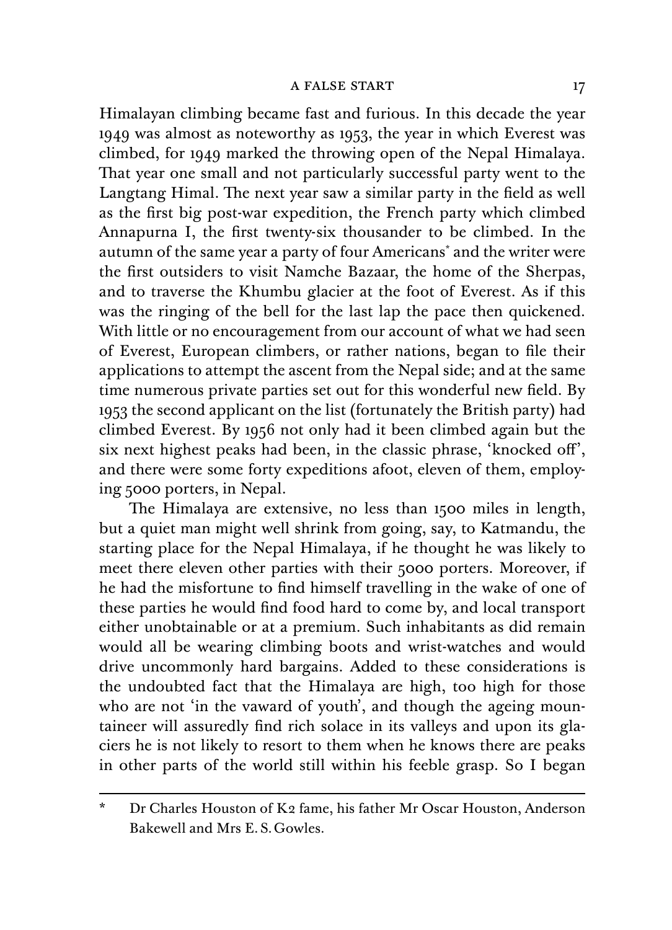Himalayan climbing became fast and furious. In this decade the year 1949 was almost as noteworthy as 1953, the year in which Everest was climbed, for 1949 marked the throwing open of the Nepal Himalaya. That year one small and not particularly successful party went to the Langtang Himal. The next year saw a similar party in the field as well as the first big post-war expedition, the French party which climbed Annapurna I, the first twenty-six thousander to be climbed. In the autumn of the same year a party of four Americans\* and the writer were the first outsiders to visit Namche Bazaar, the home of the Sherpas, and to traverse the Khumbu glacier at the foot of Everest. As if this was the ringing of the bell for the last lap the pace then quickened. With little or no encouragement from our account of what we had seen of Everest, European climbers, or rather nations, began to file their applications to attempt the ascent from the Nepal side; and at the same time numerous private parties set out for this wonderful new field. By 1953 the second applicant on the list (fortunately the British party) had climbed Everest. By 1956 not only had it been climbed again but the six next highest peaks had been, in the classic phrase, 'knocked off', and there were some forty expeditions afoot, eleven of them, employing 5000 porters, in Nepal.

The Himalaya are extensive, no less than 1500 miles in length, but a quiet man might well shrink from going, say, to Katmandu, the starting place for the Nepal Himalaya, if he thought he was likely to meet there eleven other parties with their 5000 porters. Moreover, if he had the misfortune to find himself travelling in the wake of one of these parties he would find food hard to come by, and local transport either unobtainable or at a premium. Such inhabitants as did remain would all be wearing climbing boots and wrist-watches and would drive uncommonly hard bargains. Added to these considerations is the undoubted fact that the Himalaya are high, too high for those who are not 'in the vaward of youth', and though the ageing mountaineer will assuredly find rich solace in its valleys and upon its glaciers he is not likely to resort to them when he knows there are peaks in other parts of the world still within his feeble grasp. So I began

Dr Charles Houston of K2 fame, his father Mr Oscar Houston, Anderson Bakewell and Mrs E.S.Gowles.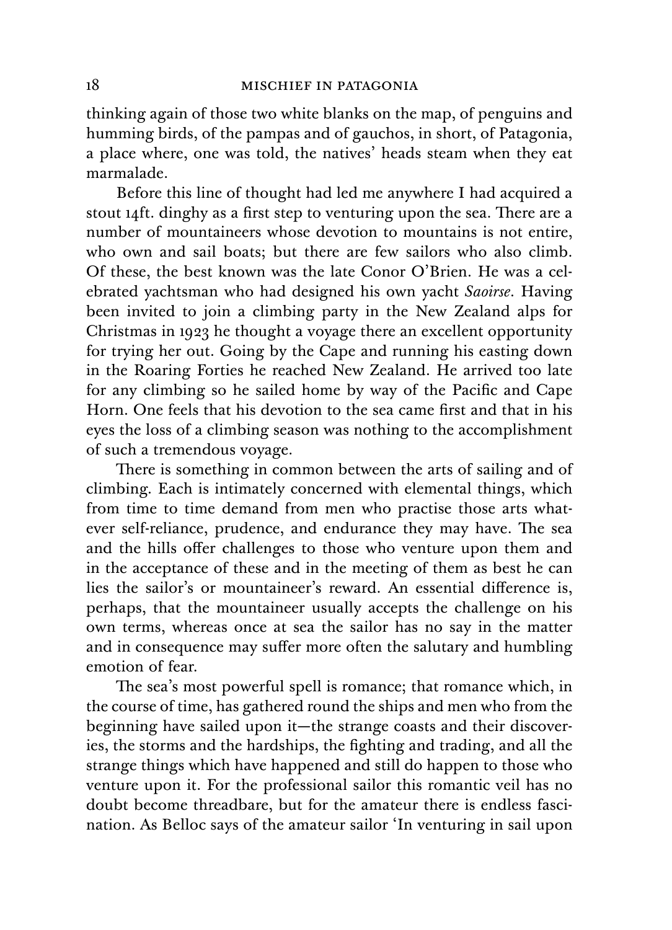thinking again of those two white blanks on the map, of penguins and humming birds, of the pampas and of gauchos, in short, of Patagonia, a place where, one was told, the natives' heads steam when they eat marmalade.

Before this line of thought had led me anywhere I had acquired a stout 14ft. dinghy as a first step to venturing upon the sea. There are a number of mountaineers whose devotion to mountains is not entire, who own and sail boats; but there are few sailors who also climb. Of these, the best known was the late Conor O'Brien. He was a celebrated yachtsman who had designed his own yacht *Saoirse*. Having been invited to join a climbing party in the New Zealand alps for Christmas in 1923 he thought a voyage there an excellent opportunity for trying her out. Going by the Cape and running his easting down in the Roaring Forties he reached New Zealand. He arrived too late for any climbing so he sailed home by way of the Pacific and Cape Horn. One feels that his devotion to the sea came first and that in his eyes the loss of a climbing season was nothing to the accomplishment of such a tremendous voyage.

There is something in common between the arts of sailing and of climbing. Each is intimately concerned with elemental things, which from time to time demand from men who practise those arts whatever self-reliance, prudence, and endurance they may have. The sea and the hills offer challenges to those who venture upon them and in the acceptance of these and in the meeting of them as best he can lies the sailor's or mountaineer's reward. An essential difference is, perhaps, that the mountaineer usually accepts the challenge on his own terms, whereas once at sea the sailor has no say in the matter and in consequence may suffer more often the salutary and humbling emotion of fear.

The sea's most powerful spell is romance; that romance which, in the course of time, has gathered round the ships and men who from the beginning have sailed upon it—the strange coasts and their discoveries, the storms and the hardships, the fighting and trading, and all the strange things which have happened and still do happen to those who venture upon it. For the professional sailor this romantic veil has no doubt become threadbare, but for the amateur there is endless fascination. As Belloc says of the amateur sailor 'In venturing in sail upon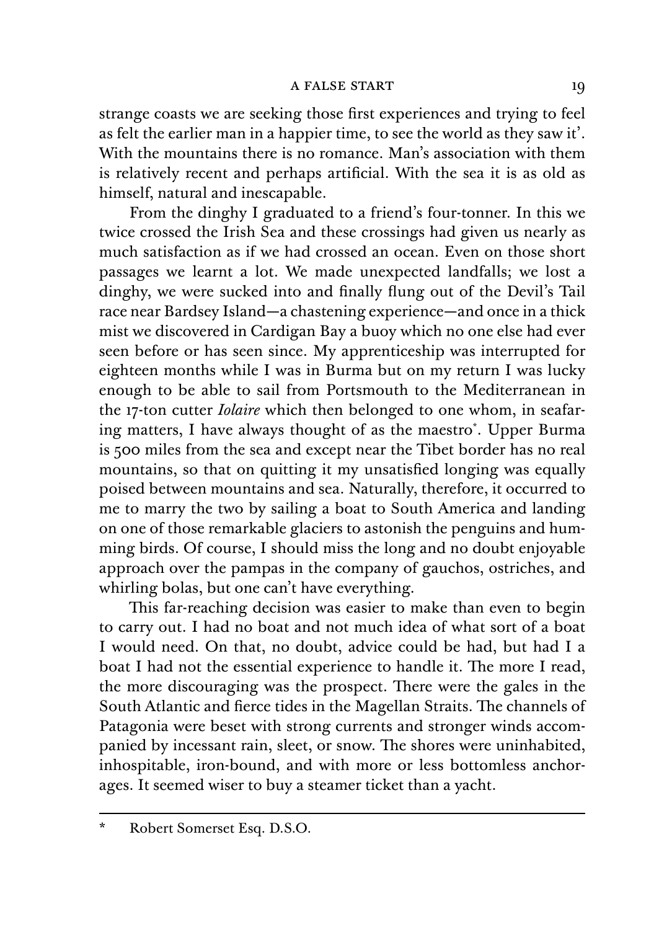strange coasts we are seeking those first experiences and trying to feel as felt the earlier man in a happier time, to see the world as they saw it'. With the mountains there is no romance. Man's association with them is relatively recent and perhaps artificial. With the sea it is as old as himself, natural and inescapable.

From the dinghy I graduated to a friend's four-tonner. In this we twice crossed the Irish Sea and these crossings had given us nearly as much satisfaction as if we had crossed an ocean. Even on those short passages we learnt a lot. We made unexpected landfalls; we lost a dinghy, we were sucked into and finally flung out of the Devil's Tail race near Bardsey Island—a chastening experience—and once in a thick mist we discovered in Cardigan Bay a buoy which no one else had ever seen before or has seen since. My apprenticeship was interrupted for eighteen months while I was in Burma but on my return I was lucky enough to be able to sail from Portsmouth to the Mediterranean in the 17-ton cutter *Iolaire* which then belonged to one whom, in seafaring matters, I have always thought of as the maestro\* . Upper Burma is 500 miles from the sea and except near the Tibet border has no real mountains, so that on quitting it my unsatisfied longing was equally poised between mountains and sea. Naturally, therefore, it occurred to me to marry the two by sailing a boat to South America and landing on one of those remarkable glaciers to astonish the penguins and humming birds. Of course, I should miss the long and no doubt enjoyable approach over the pampas in the company of gauchos, ostriches, and whirling bolas, but one can't have everything.

This far-reaching decision was easier to make than even to begin to carry out. I had no boat and not much idea of what sort of a boat I would need. On that, no doubt, advice could be had, but had I a boat I had not the essential experience to handle it. The more I read, the more discouraging was the prospect. There were the gales in the South Atlantic and fierce tides in the Magellan Straits. The channels of Patagonia were beset with strong currents and stronger winds accompanied by incessant rain, sleet, or snow. The shores were uninhabited, inhospitable, iron-bound, and with more or less bottomless anchorages. It seemed wiser to buy a steamer ticket than a yacht.

Robert Somerset Esq. D.S.O.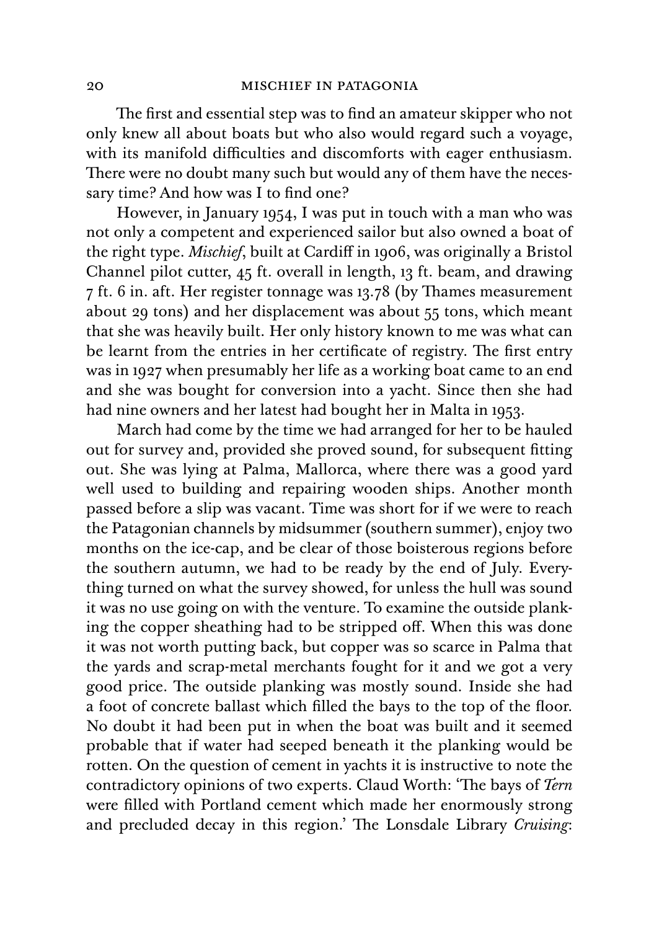The first and essential step was to find an amateur skipper who not only knew all about boats but who also would regard such a voyage, with its manifold difficulties and discomforts with eager enthusiasm. There were no doubt many such but would any of them have the necessary time? And how was I to find one?

However, in January 1954, I was put in touch with a man who was not only a competent and experienced sailor but also owned a boat of the right type. *Mischief*, built at Cardiff in 1906, was originally a Bristol Channel pilot cutter, 45 ft. overall in length, 13 ft. beam, and drawing 7 ft. 6 in. aft. Her register tonnage was 13.78 (by Thames measurement about 29 tons) and her displacement was about 55 tons, which meant that she was heavily built. Her only history known to me was what can be learnt from the entries in her certificate of registry. The first entry was in 1927 when presumably her life as a working boat came to an end and she was bought for conversion into a yacht. Since then she had had nine owners and her latest had bought her in Malta in 1953.

March had come by the time we had arranged for her to be hauled out for survey and, provided she proved sound, for subsequent fitting out. She was lying at Palma, Mallorca, where there was a good yard well used to building and repairing wooden ships. Another month passed before a slip was vacant. Time was short for if we were to reach the Patagonian channels by midsummer (southern summer), enjoy two months on the ice-cap, and be clear of those boisterous regions before the southern autumn, we had to be ready by the end of July. Everything turned on what the survey showed, for unless the hull was sound it was no use going on with the venture. To examine the outside planking the copper sheathing had to be stripped off. When this was done it was not worth putting back, but copper was so scarce in Palma that the yards and scrap-metal merchants fought for it and we got a very good price. The outside planking was mostly sound. Inside she had a foot of concrete ballast which filled the bays to the top of the floor. No doubt it had been put in when the boat was built and it seemed probable that if water had seeped beneath it the planking would be rotten. On the question of cement in yachts it is instructive to note the contradictory opinions of two experts. Claud Worth: 'The bays of *Tern* were filled with Portland cement which made her enormously strong and precluded decay in this region.' The Lonsdale Library *Cruising*: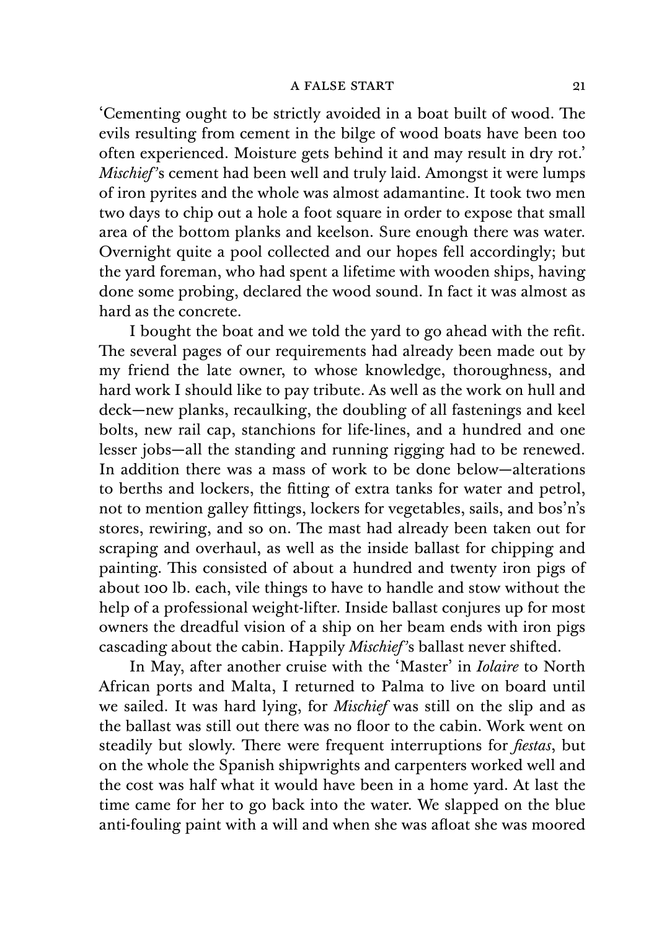'Cementing ought to be strictly avoided in a boat built of wood. The evils resulting from cement in the bilge of wood boats have been too often experienced. Moisture gets behind it and may result in dry rot.' *Mischief'*s cement had been well and truly laid. Amongst it were lumps of iron pyrites and the whole was almost adamantine. It took two men two days to chip out a hole a foot square in order to expose that small area of the bottom planks and keelson. Sure enough there was water. Overnight quite a pool collected and our hopes fell accordingly; but the yard foreman, who had spent a lifetime with wooden ships, having done some probing, declared the wood sound. In fact it was almost as hard as the concrete.

I bought the boat and we told the yard to go ahead with the refit. The several pages of our requirements had already been made out by my friend the late owner, to whose knowledge, thoroughness, and hard work I should like to pay tribute. As well as the work on hull and deck—new planks, recaulking, the doubling of all fastenings and keel bolts, new rail cap, stanchions for life-lines, and a hundred and one lesser jobs—all the standing and running rigging had to be renewed. In addition there was a mass of work to be done below—alterations to berths and lockers, the fitting of extra tanks for water and petrol, not to mention galley fittings, lockers for vegetables, sails, and bos'n's stores, rewiring, and so on. The mast had already been taken out for scraping and overhaul, as well as the inside ballast for chipping and painting. This consisted of about a hundred and twenty iron pigs of about 100 lb. each, vile things to have to handle and stow without the help of a professional weight-lifter. Inside ballast conjures up for most owners the dreadful vision of a ship on her beam ends with iron pigs cascading about the cabin. Happily *Mischief'*s ballast never shifted.

In May, after another cruise with the 'Master' in *Iolaire* to North African ports and Malta, I returned to Palma to live on board until we sailed. It was hard lying, for *Mischief* was still on the slip and as the ballast was still out there was no floor to the cabin. Work went on steadily but slowly. There were frequent interruptions for *fiestas*, but on the whole the Spanish shipwrights and carpenters worked well and the cost was half what it would have been in a home yard. At last the time came for her to go back into the water. We slapped on the blue anti-fouling paint with a will and when she was afloat she was moored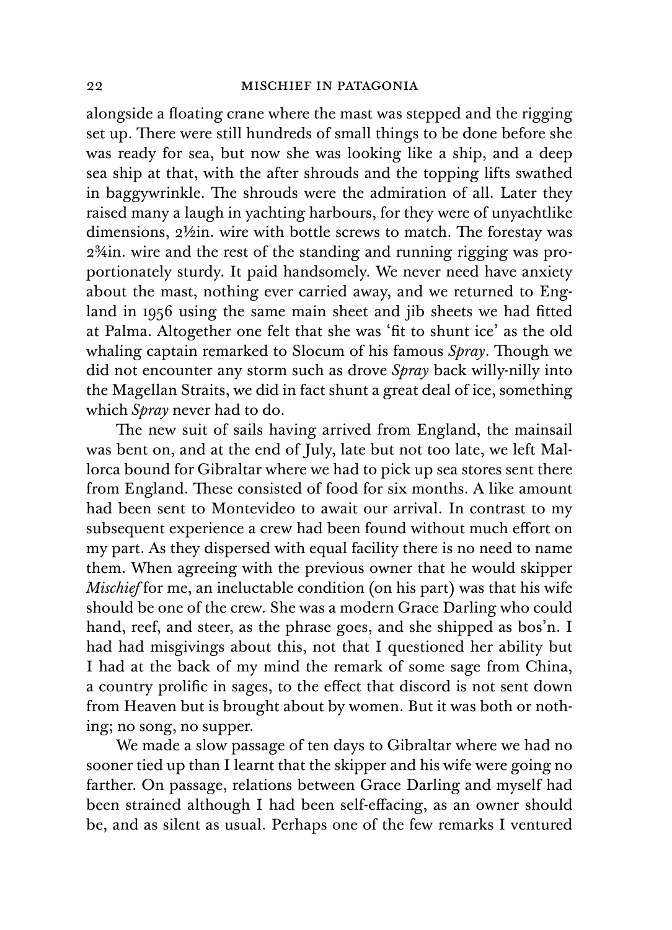alongside a floating crane where the mast was stepped and the rigging set up. There were still hundreds of small things to be done before she was ready for sea, but now she was looking like a ship, and a deep sea ship at that, with the after shrouds and the topping lifts swathed in baggywrinkle. The shrouds were the admiration of all. Later they raised many a laugh in yachting harbours, for they were of unyachtlike dimensions, 2½in. wire with bottle screws to match. The forestay was 2¾in. wire and the rest of the standing and running rigging was proportionately sturdy. It paid handsomely. We never need have anxiety about the mast, nothing ever carried away, and we returned to England in 1956 using the same main sheet and jib sheets we had fitted at Palma. Altogether one felt that she was 'fit to shunt ice' as the old whaling captain remarked to Slocum of his famous *Spray*. Though we did not encounter any storm such as drove *Spray* back willy-nilly into the Magellan Straits, we did in fact shunt a great deal of ice, something which *Spray* never had to do.

The new suit of sails having arrived from England, the mainsail was bent on, and at the end of July, late but not too late, we left Mallorca bound for Gibraltar where we had to pick up sea stores sent there from England. These consisted of food for six months. A like amount had been sent to Montevideo to await our arrival. In contrast to my subsequent experience a crew had been found without much effort on my part. As they dispersed with equal facility there is no need to name them. When agreeing with the previous owner that he would skipper *Mischief* for me, an ineluctable condition (on his part) was that his wife should be one of the crew. She was a modern Grace Darling who could hand, reef, and steer, as the phrase goes, and she shipped as bos'n. I had had misgivings about this, not that I questioned her ability but I had at the back of my mind the remark of some sage from China, a country prolific in sages, to the effect that discord is not sent down from Heaven but is brought about by women. But it was both or nothing; no song, no supper.

We made a slow passage of ten days to Gibraltar where we had no sooner tied up than I learnt that the skipper and his wife were going no farther. On passage, relations between Grace Darling and myself had been strained although I had been self-effacing, as an owner should be, and as silent as usual. Perhaps one of the few remarks I ventured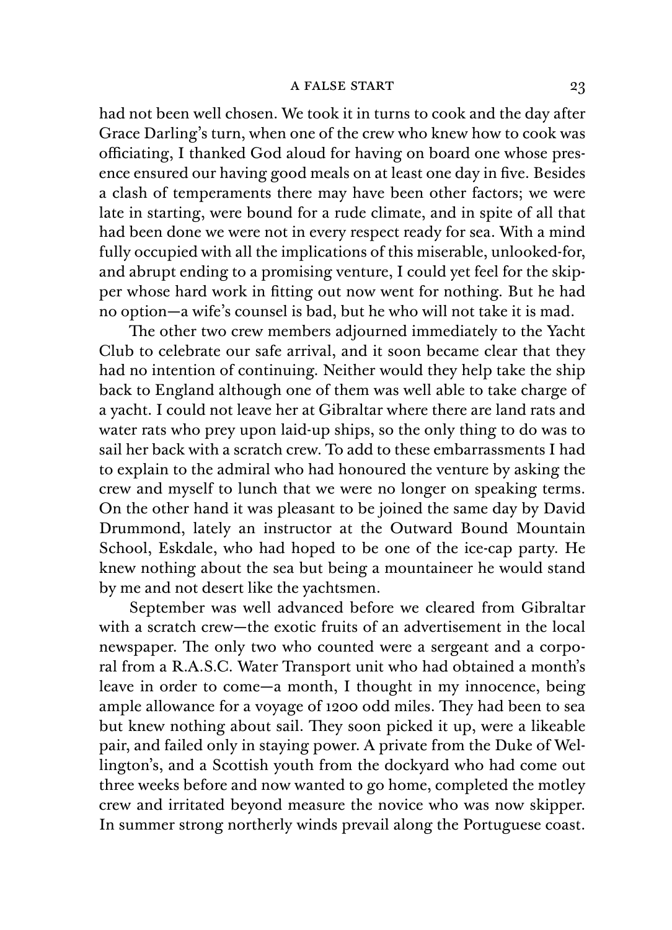had not been well chosen. We took it in turns to cook and the day after Grace Darling's turn, when one of the crew who knew how to cook was officiating, I thanked God aloud for having on board one whose presence ensured our having good meals on at least one day in five. Besides a clash of temperaments there may have been other factors; we were late in starting, were bound for a rude climate, and in spite of all that had been done we were not in every respect ready for sea. With a mind fully occupied with all the implications of this miserable, unlooked-for, and abrupt ending to a promising venture, I could yet feel for the skipper whose hard work in fitting out now went for nothing. But he had no option—a wife's counsel is bad, but he who will not take it is mad.

The other two crew members adjourned immediately to the Yacht Club to celebrate our safe arrival, and it soon became clear that they had no intention of continuing. Neither would they help take the ship back to England although one of them was well able to take charge of a yacht. I could not leave her at Gibraltar where there are land rats and water rats who prey upon laid-up ships, so the only thing to do was to sail her back with a scratch crew. To add to these embarrassments I had to explain to the admiral who had honoured the venture by asking the crew and myself to lunch that we were no longer on speaking terms. On the other hand it was pleasant to be joined the same day by David Drummond, lately an instructor at the Outward Bound Mountain School, Eskdale, who had hoped to be one of the ice-cap party. He knew nothing about the sea but being a mountaineer he would stand by me and not desert like the yachtsmen.

September was well advanced before we cleared from Gibraltar with a scratch crew—the exotic fruits of an advertisement in the local newspaper. The only two who counted were a sergeant and a corporal from a R.A.S.C. Water Transport unit who had obtained a month's leave in order to come—a month, I thought in my innocence, being ample allowance for a voyage of 1200 odd miles. They had been to sea but knew nothing about sail. They soon picked it up, were a likeable pair, and failed only in staying power. A private from the Duke of Wellington's, and a Scottish youth from the dockyard who had come out three weeks before and now wanted to go home, completed the motley crew and irritated beyond measure the novice who was now skipper. In summer strong northerly winds prevail along the Portuguese coast.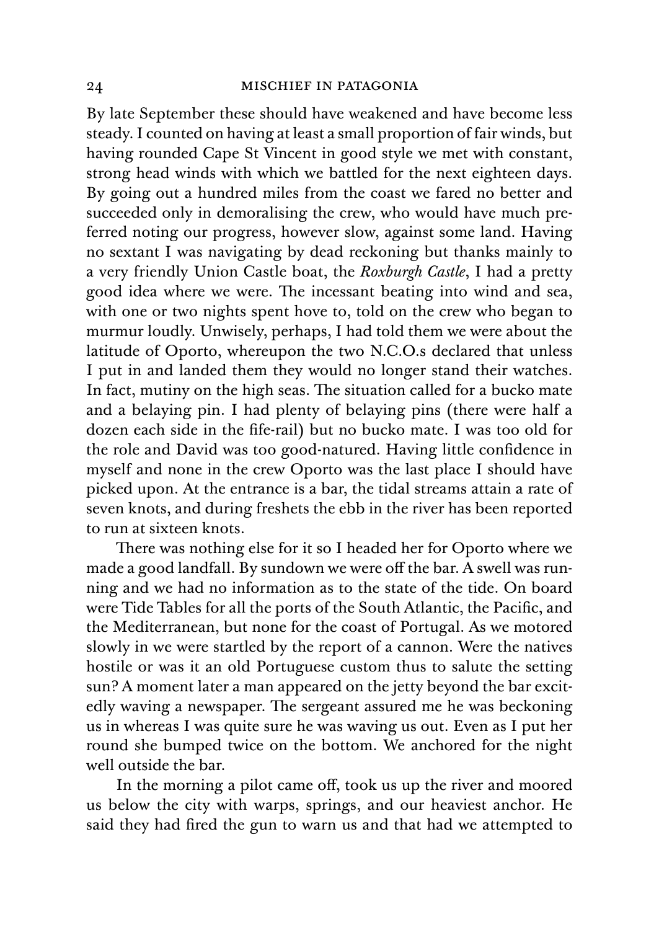#### 24 MISCHIEF IN PATAGONIA

By late September these should have weakened and have become less steady. I counted on having at least a small proportion of fair winds, but having rounded Cape St Vincent in good style we met with constant, strong head winds with which we battled for the next eighteen days. By going out a hundred miles from the coast we fared no better and succeeded only in demoralising the crew, who would have much preferred noting our progress, however slow, against some land. Having no sextant I was navigating by dead reckoning but thanks mainly to a very friendly Union Castle boat, the *Roxburgh Castle*, I had a pretty good idea where we were. The incessant beating into wind and sea, with one or two nights spent hove to, told on the crew who began to murmur loudly. Unwisely, perhaps, I had told them we were about the latitude of Oporto, whereupon the two N.C.O.s declared that unless I put in and landed them they would no longer stand their watches. In fact, mutiny on the high seas. The situation called for a bucko mate and a belaying pin. I had plenty of belaying pins (there were half a dozen each side in the fife-rail) but no bucko mate. I was too old for the role and David was too good-natured. Having little confidence in myself and none in the crew Oporto was the last place I should have picked upon. At the entrance is a bar, the tidal streams attain a rate of seven knots, and during freshets the ebb in the river has been reported to run at sixteen knots.

There was nothing else for it so I headed her for Oporto where we made a good landfall. By sundown we were off the bar. A swell was running and we had no information as to the state of the tide. On board were Tide Tables for all the ports of the South Atlantic, the Pacific, and the Mediterranean, but none for the coast of Portugal. As we motored slowly in we were startled by the report of a cannon. Were the natives hostile or was it an old Portuguese custom thus to salute the setting sun? A moment later a man appeared on the jetty beyond the bar excitedly waving a newspaper. The sergeant assured me he was beckoning us in whereas I was quite sure he was waving us out. Even as I put her round she bumped twice on the bottom. We anchored for the night well outside the bar.

In the morning a pilot came off, took us up the river and moored us below the city with warps, springs, and our heaviest anchor. He said they had fired the gun to warn us and that had we attempted to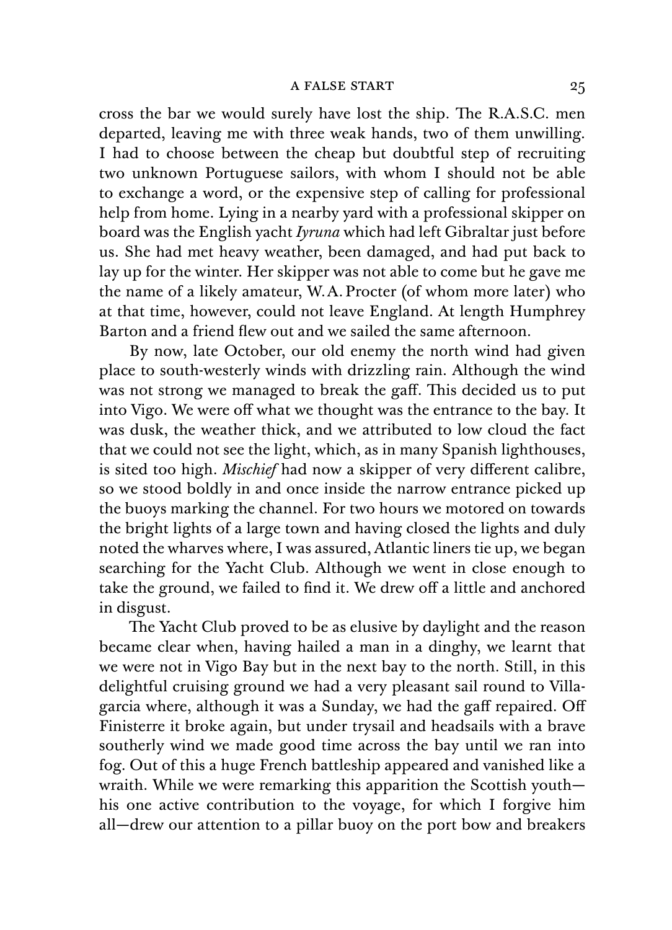cross the bar we would surely have lost the ship. The R.A.S.C. men departed, leaving me with three weak hands, two of them unwilling. I had to choose between the cheap but doubtful step of recruiting two unknown Portuguese sailors, with whom I should not be able to exchange a word, or the expensive step of calling for professional help from home. Lying in a nearby yard with a professional skipper on board was the English yacht *Iyruna* which had left Gibraltar just before us. She had met heavy weather, been damaged, and had put back to lay up for the winter. Her skipper was not able to come but he gave me the name of a likely amateur, W.A.Procter (of whom more later) who at that time, however, could not leave England. At length Humphrey Barton and a friend flew out and we sailed the same afternoon.

By now, late October, our old enemy the north wind had given place to south-westerly winds with drizzling rain. Although the wind was not strong we managed to break the gaff. This decided us to put into Vigo. We were off what we thought was the entrance to the bay. It was dusk, the weather thick, and we attributed to low cloud the fact that we could not see the light, which, as in many Spanish lighthouses, is sited too high. *Mischief* had now a skipper of very different calibre, so we stood boldly in and once inside the narrow entrance picked up the buoys marking the channel. For two hours we motored on towards the bright lights of a large town and having closed the lights and duly noted the wharves where, I was assured, Atlantic liners tie up, we began searching for the Yacht Club. Although we went in close enough to take the ground, we failed to find it. We drew off a little and anchored in disgust.

The Yacht Club proved to be as elusive by daylight and the reason became clear when, having hailed a man in a dinghy, we learnt that we were not in Vigo Bay but in the next bay to the north. Still, in this delightful cruising ground we had a very pleasant sail round to Villagarcia where, although it was a Sunday, we had the gaff repaired. Off Finisterre it broke again, but under trysail and headsails with a brave southerly wind we made good time across the bay until we ran into fog. Out of this a huge French battleship appeared and vanished like a wraith. While we were remarking this apparition the Scottish youth his one active contribution to the voyage, for which I forgive him all—drew our attention to a pillar buoy on the port bow and breakers